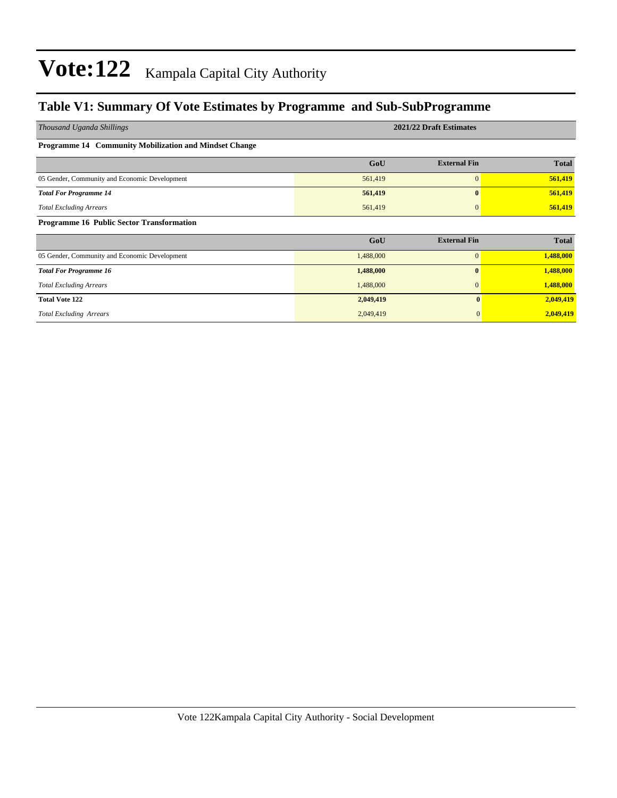### **Table V1: Summary Of Vote Estimates by Programme and Sub-SubProgramme**

| Thousand Uganda Shillings                              | 2021/22 Draft Estimates |                     |              |  |  |  |  |
|--------------------------------------------------------|-------------------------|---------------------|--------------|--|--|--|--|
| Programme 14 Community Mobilization and Mindset Change |                         |                     |              |  |  |  |  |
|                                                        | GoU                     | <b>External Fin</b> | <b>Total</b> |  |  |  |  |
| 05 Gender, Community and Economic Development          | 561,419                 | $\mathbf{0}$        | 561,419      |  |  |  |  |
| <b>Total For Programme 14</b>                          | 561,419                 | 0                   | 561,419      |  |  |  |  |
| <b>Total Excluding Arrears</b>                         | 561,419                 | 0                   | 561,419      |  |  |  |  |
| <b>Programme 16 Public Sector Transformation</b>       |                         |                     |              |  |  |  |  |
|                                                        | GoU                     | <b>External Fin</b> | <b>Total</b> |  |  |  |  |
| 05 Gender, Community and Economic Development          | 1,488,000               | $\overline{0}$      | 1,488,000    |  |  |  |  |
| <b>Total For Programme 16</b>                          | 1,488,000               | $\bf{0}$            | 1,488,000    |  |  |  |  |
| <b>Total Excluding Arrears</b>                         | 1,488,000               | $\mathbf{0}$        | 1,488,000    |  |  |  |  |
| <b>Total Vote 122</b>                                  | 2,049,419               | $\mathbf{0}$        | 2,049,419    |  |  |  |  |
| <b>Total Excluding Arrears</b>                         | 2,049,419               | $\mathbf{0}$        | 2,049,419    |  |  |  |  |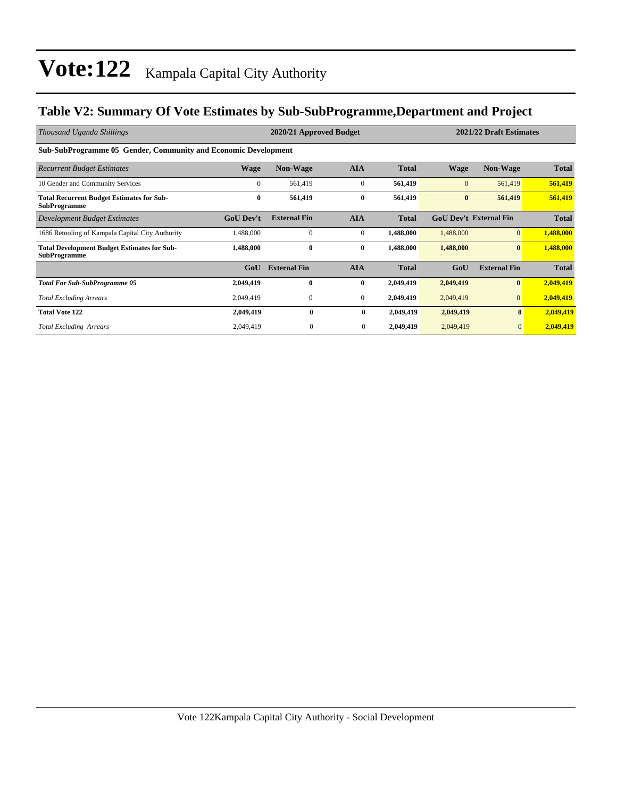### **Table V2: Summary Of Vote Estimates by Sub-SubProgramme,Department and Project**

| Thousand Uganda Shillings                                                 |                  | 2020/21 Approved Budget |                |              | 2021/22 Draft Estimates       |                     |              |  |
|---------------------------------------------------------------------------|------------------|-------------------------|----------------|--------------|-------------------------------|---------------------|--------------|--|
| <b>Sub-SubProgramme 05 Gender, Community and Economic Development</b>     |                  |                         |                |              |                               |                     |              |  |
| <b>Recurrent Budget Estimates</b>                                         | <b>Wage</b>      | <b>Non-Wage</b>         | <b>AIA</b>     | <b>Total</b> | Wage                          | Non-Wage            | <b>Total</b> |  |
| 10 Gender and Community Services                                          | $\Omega$         | 561,419                 | $\mathbf{0}$   | 561,419      | $\Omega$                      | 561,419             | 561,419      |  |
| <b>Total Recurrent Budget Estimates for Sub-</b><br><b>SubProgramme</b>   | $\bf{0}$         | 561,419                 | $\bf{0}$       | 561,419      | $\bf{0}$                      | 561,419             | 561,419      |  |
| Development Budget Estimates                                              | <b>GoU</b> Dev't | <b>External Fin</b>     | <b>AIA</b>     | <b>Total</b> | <b>GoU Dev't External Fin</b> |                     | <b>Total</b> |  |
| 1686 Retooling of Kampala Capital City Authority                          | 1,488,000        | $\mathbf{0}$            | $\mathbf{0}$   | 1,488,000    | 1,488,000                     | $\Omega$            | 1,488,000    |  |
| <b>Total Development Budget Estimates for Sub-</b><br><b>SubProgramme</b> | 1,488,000        | $\bf{0}$                | $\bf{0}$       | 1,488,000    | 1,488,000                     | $\mathbf{0}$        | 1,488,000    |  |
|                                                                           | GoU              | <b>External Fin</b>     | <b>AIA</b>     | <b>Total</b> | GoU                           | <b>External Fin</b> | <b>Total</b> |  |
| <b>Total For Sub-SubProgramme 05</b>                                      | 2,049,419        | 0                       | $\bf{0}$       | 2,049,419    | 2,049,419                     | $\mathbf{0}$        | 2,049,419    |  |
| <b>Total Excluding Arrears</b>                                            | 2,049,419        | $\boldsymbol{0}$        | $\overline{0}$ | 2,049,419    | 2,049,419                     | $\mathbf{0}$        | 2,049,419    |  |
| <b>Total Vote 122</b>                                                     | 2,049,419        | $\bf{0}$                | $\bf{0}$       | 2,049,419    | 2,049,419                     | $\bf{0}$            | 2,049,419    |  |
| <b>Total Excluding Arrears</b>                                            | 2,049,419        | $\mathbf{0}$            | $\mathbf{0}$   | 2,049,419    | 2,049,419                     | $\mathbf{0}$        | 2,049,419    |  |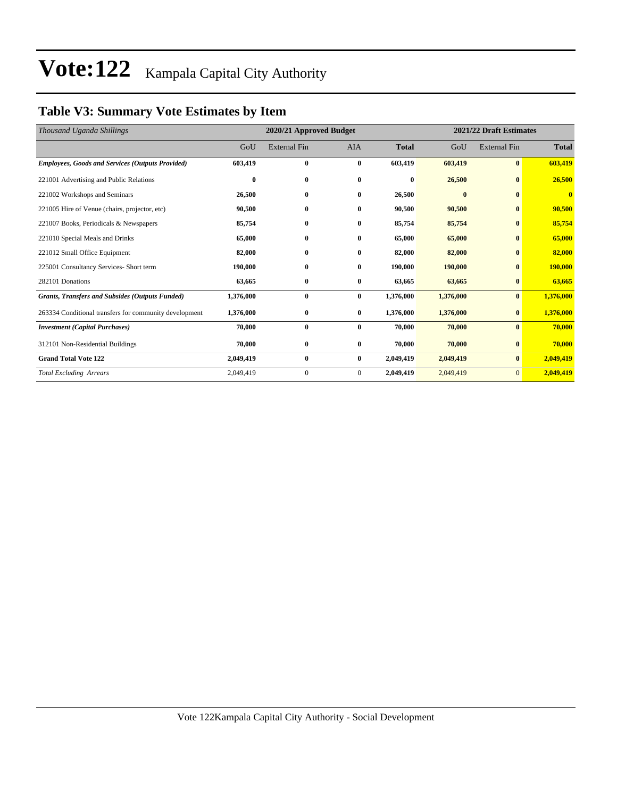### **Table V3: Summary Vote Estimates by Item**

| Thousand Uganda Shillings                               |           | 2020/21 Approved Budget |                |              |              | 2021/22 Draft Estimates |              |  |  |
|---------------------------------------------------------|-----------|-------------------------|----------------|--------------|--------------|-------------------------|--------------|--|--|
|                                                         | GoU       | <b>External Fin</b>     | <b>AIA</b>     | <b>Total</b> | GoU          | <b>External Fin</b>     | <b>Total</b> |  |  |
| <b>Employees, Goods and Services (Outputs Provided)</b> | 603,419   | $\bf{0}$                | $\bf{0}$       | 603,419      | 603,419      | $\bf{0}$                | 603,419      |  |  |
| 221001 Advertising and Public Relations                 | $\bf{0}$  | $\bf{0}$                | $\bf{0}$       | $\bf{0}$     | 26,500       | $\bf{0}$                | 26,500       |  |  |
| 221002 Workshops and Seminars                           | 26,500    | $\bf{0}$                | $\bf{0}$       | 26,500       | $\mathbf{0}$ | $\mathbf{0}$            | $\bf{0}$     |  |  |
| 221005 Hire of Venue (chairs, projector, etc)           | 90,500    | $\bf{0}$                | $\bf{0}$       | 90,500       | 90,500       | $\bf{0}$                | 90,500       |  |  |
| 221007 Books, Periodicals & Newspapers                  | 85,754    | $\bf{0}$                | $\bf{0}$       | 85,754       | 85,754       | $\bf{0}$                | 85,754       |  |  |
| 221010 Special Meals and Drinks                         | 65,000    | $\bf{0}$                | $\bf{0}$       | 65,000       | 65,000       | $\bf{0}$                | 65,000       |  |  |
| 221012 Small Office Equipment                           | 82,000    | $\bf{0}$                | $\bf{0}$       | 82,000       | 82,000       | $\mathbf{0}$            | 82,000       |  |  |
| 225001 Consultancy Services- Short term                 | 190,000   | $\bf{0}$                | $\bf{0}$       | 190,000      | 190,000      | $\bf{0}$                | 190,000      |  |  |
| 282101 Donations                                        | 63,665    | $\bf{0}$                | $\bf{0}$       | 63,665       | 63,665       | $\bf{0}$                | 63,665       |  |  |
| <b>Grants, Transfers and Subsides (Outputs Funded)</b>  | 1,376,000 | $\bf{0}$                | $\bf{0}$       | 1,376,000    | 1,376,000    | $\bf{0}$                | 1,376,000    |  |  |
| 263334 Conditional transfers for community development  | 1,376,000 | $\bf{0}$                | $\bf{0}$       | 1,376,000    | 1,376,000    | $\bf{0}$                | 1,376,000    |  |  |
| <b>Investment (Capital Purchases)</b>                   | 70,000    | $\bf{0}$                | $\bf{0}$       | 70,000       | 70,000       | $\bf{0}$                | 70,000       |  |  |
| 312101 Non-Residential Buildings                        | 70,000    | $\bf{0}$                | $\bf{0}$       | 70,000       | 70,000       | $\bf{0}$                | 70,000       |  |  |
| <b>Grand Total Vote 122</b>                             | 2,049,419 | $\bf{0}$                | $\bf{0}$       | 2,049,419    | 2,049,419    | $\bf{0}$                | 2,049,419    |  |  |
| <b>Total Excluding Arrears</b>                          | 2,049,419 | $\mathbf{0}$            | $\overline{0}$ | 2,049,419    | 2,049,419    | $\mathbf{0}$            | 2,049,419    |  |  |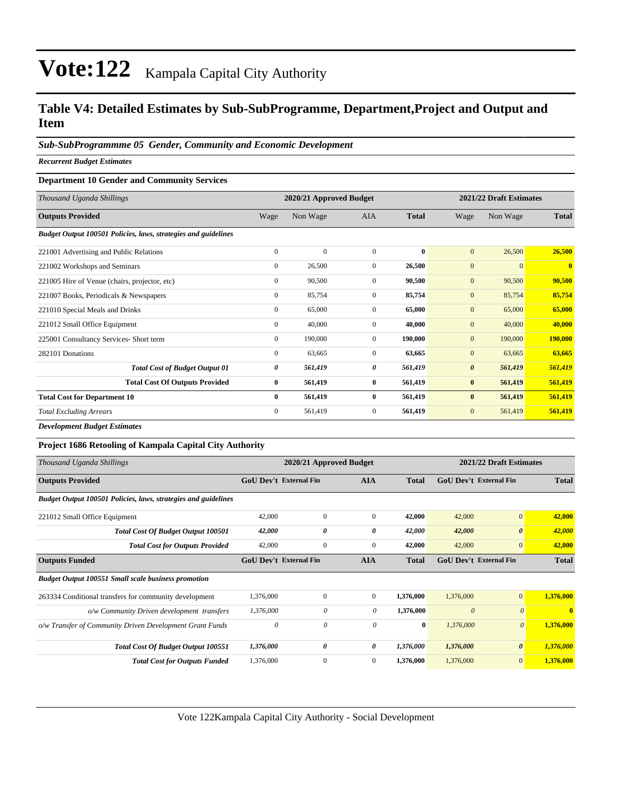#### **Table V4: Detailed Estimates by Sub-SubProgramme, Department,Project and Output and Item**

#### *Sub-SubProgrammme 05 Gender, Community and Economic Development*

*Recurrent Budget Estimates*

#### **Department 10 Gender and Community Services**

| Thousand Uganda Shillings                                      | 2020/21 Approved Budget<br>2021/22 Draft Estimates |                |              |              |                       |              |                         |
|----------------------------------------------------------------|----------------------------------------------------|----------------|--------------|--------------|-----------------------|--------------|-------------------------|
| <b>Outputs Provided</b>                                        | Wage                                               | Non Wage       | <b>AIA</b>   | <b>Total</b> | Wage                  | Non Wage     | <b>Total</b>            |
| Budget Output 100501 Policies, laws, strategies and guidelines |                                                    |                |              |              |                       |              |                         |
| 221001 Advertising and Public Relations                        | $\overline{0}$                                     | $\overline{0}$ | $\mathbf{0}$ | $\bf{0}$     | $\mathbf{0}$          | 26,500       | 26,500                  |
| 221002 Workshops and Seminars                                  | $\mathbf{0}$                                       | 26,500         | $\mathbf{0}$ | 26,500       | $\mathbf{0}$          | $\mathbf{0}$ | $\overline{\mathbf{0}}$ |
| 221005 Hire of Venue (chairs, projector, etc)                  | $\overline{0}$                                     | 90,500         | $\mathbf{0}$ | 90,500       | $\mathbf{0}$          | 90,500       | 90,500                  |
| 221007 Books, Periodicals & Newspapers                         | $\overline{0}$                                     | 85,754         | $\mathbf{0}$ | 85,754       | $\mathbf{0}$          | 85,754       | 85,754                  |
| 221010 Special Meals and Drinks                                | $\mathbf{0}$                                       | 65,000         | $\mathbf{0}$ | 65,000       | $\mathbf{0}$          | 65,000       | 65,000                  |
| 221012 Small Office Equipment                                  | $\mathbf{0}$                                       | 40,000         | $\mathbf{0}$ | 40,000       | $\mathbf{0}$          | 40,000       | 40,000                  |
| 225001 Consultancy Services- Short term                        | $\mathbf{0}$                                       | 190,000        | $\mathbf{0}$ | 190,000      | $\mathbf{0}$          | 190,000      | 190,000                 |
| 282101 Donations                                               | $\mathbf{0}$                                       | 63,665         | $\mathbf{0}$ | 63,665       | $\mathbf{0}$          | 63,665       | 63,665                  |
| <b>Total Cost of Budget Output 01</b>                          | 0                                                  | 561,419        | 0            | 561,419      | $\boldsymbol{\theta}$ | 561,419      | 561,419                 |
| <b>Total Cost Of Outputs Provided</b>                          | $\bf{0}$                                           | 561,419        | $\bf{0}$     | 561,419      | $\bf{0}$              | 561,419      | 561,419                 |
| <b>Total Cost for Department 10</b>                            | $\mathbf{0}$                                       | 561,419        | $\bf{0}$     | 561,419      | $\bf{0}$              | 561,419      | 561,419                 |
| <b>Total Excluding Arrears</b>                                 | $\mathbf{0}$                                       | 561,419        | $\mathbf{0}$ | 561,419      | $\mathbf{0}$          | 561,419      | 561,419                 |
|                                                                |                                                    |                |              |              |                       |              |                         |

*Development Budget Estimates*

#### **Project 1686 Retooling of Kampala Capital City Authority**

| Thousand Uganda Shillings                                      | 2020/21 Approved Budget       |                               |                |              | 2021/22 Draft Estimates       |                       |              |  |
|----------------------------------------------------------------|-------------------------------|-------------------------------|----------------|--------------|-------------------------------|-----------------------|--------------|--|
| <b>Outputs Provided</b>                                        |                               | <b>GoU Dev't External Fin</b> |                | <b>Total</b> | <b>GoU Dev't External Fin</b> |                       | <b>Total</b> |  |
| Budget Output 100501 Policies, laws, strategies and guidelines |                               |                               |                |              |                               |                       |              |  |
| 221012 Small Office Equipment                                  | 42,000                        | $\mathbf{0}$                  | $\mathbf{0}$   | 42,000       | 42,000                        | $\mathbf{0}$          | 42,000       |  |
| <b>Total Cost Of Budget Output 100501</b>                      | 42,000                        | 0                             | 0              | 42,000       | 42,000                        | $\boldsymbol{\theta}$ | 42,000       |  |
| <b>Total Cost for Outputs Provided</b>                         | 42,000                        | $\mathbf{0}$                  | $\mathbf{0}$   | 42,000       | 42,000                        | $\mathbf{0}$          | 42,000       |  |
| <b>Outputs Funded</b>                                          | <b>GoU Dev't External Fin</b> |                               | <b>AIA</b>     | <b>Total</b> | <b>GoU Dev't External Fin</b> |                       | <b>Total</b> |  |
| <b>Budget Output 100551 Small scale business promotion</b>     |                               |                               |                |              |                               |                       |              |  |
| 263334 Conditional transfers for community development         | 1,376,000                     | $\mathbf{0}$                  | $\overline{0}$ | 1,376,000    | 1,376,000                     | $\mathbf{0}$          | 1,376,000    |  |
| o/w Community Driven development transfers                     | 1,376,000                     | 0                             | 0              | 1,376,000    | $\theta$                      | $\theta$              | $\mathbf{0}$ |  |
| o/w Transfer of Community Driven Development Grant Funds       | $\theta$                      | 0                             | 0              | $\bf{0}$     | 1,376,000                     | $\boldsymbol{\theta}$ | 1,376,000    |  |
| <b>Total Cost Of Budget Output 100551</b>                      | 1,376,000                     | 0                             | 0              | 1,376,000    | 1,376,000                     | $\boldsymbol{\theta}$ | 1,376,000    |  |
| <b>Total Cost for Outputs Funded</b>                           | 1,376,000                     | $\mathbf{0}$                  | $\mathbf{0}$   | 1,376,000    | 1,376,000                     | $\mathbf{0}$          | 1,376,000    |  |